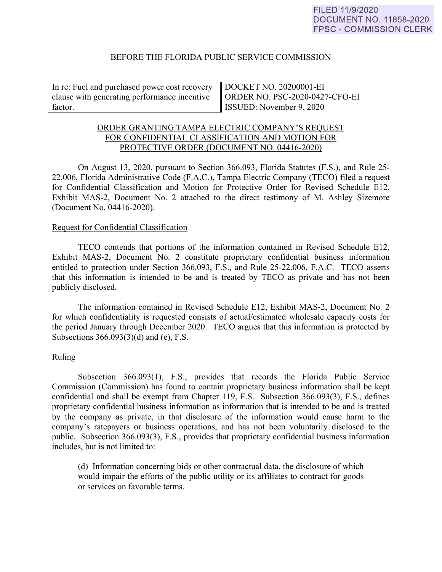#### BEFORE THE FLORIDA PUBLIC SERVICE COMMISSION

In re: Fuel and purchased power cost recovery clause with generating performance incentive factor.

DOCKET NO. 20200001-EI ORDER NO. PSC-2020-0427-CFO-EI ISSUED: November 9, 2020

# ORDER GRANTING TAMPA ELECTRIC COMPANY'S REQUEST FOR CONFIDENTIAL CLASSIFICATION AND MOTION FOR PROTECTIVE ORDER (DOCUMENT NO. 04416-2020)

On August 13, 2020, pursuant to Section 366.093, Florida Statutes (F.S.), and Rule 25- 22.006, Florida Administrative Code (F.A.C.), Tampa Electric Company (TECO) filed a request for Confidential Classification and Motion for Protective Order for Revised Schedule E12, Exhibit MAS-2, Document No. 2 attached to the direct testimony of M. Ashley Sizemore (Document No. 04416-2020).

#### Request for Confidential Classification

 TECO contends that portions of the information contained in Revised Schedule E12, Exhibit MAS-2, Document No. 2 constitute proprietary confidential business information entitled to protection under Section 366.093, F.S., and Rule 25-22.006, F.A.C. TECO asserts that this information is intended to be and is treated by TECO as private and has not been publicly disclosed.

The information contained in Revised Schedule E12, Exhibit MAS-2, Document No. 2 for which confidentiality is requested consists of actual/estimated wholesale capacity costs for the period January through December 2020. TECO argues that this information is protected by Subsections 366.093(3)(d) and (e), F.S.

## Ruling

Subsection 366.093(1), F.S., provides that records the Florida Public Service Commission (Commission) has found to contain proprietary business information shall be kept confidential and shall be exempt from Chapter 119, F.S. Subsection 366.093(3), F.S., defines proprietary confidential business information as information that is intended to be and is treated by the company as private, in that disclosure of the information would cause harm to the company's ratepayers or business operations, and has not been voluntarily disclosed to the public. Subsection 366.093(3), F.S., provides that proprietary confidential business information includes, but is not limited to:

 (d) Information concerning bids or other contractual data, the disclosure of which would impair the efforts of the public utility or its affiliates to contract for goods or services on favorable terms.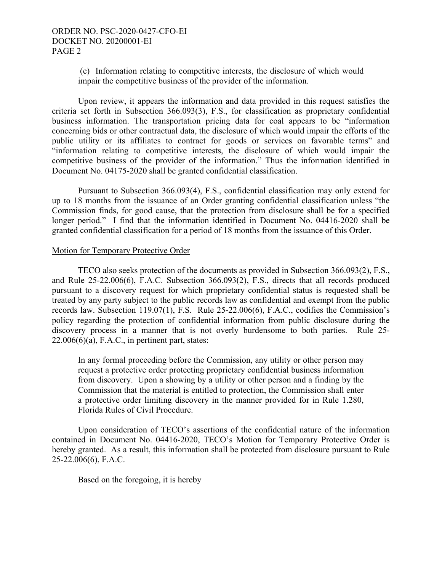(e) Information relating to competitive interests, the disclosure of which would impair the competitive business of the provider of the information.

Upon review, it appears the information and data provided in this request satisfies the criteria set forth in Subsection 366.093(3), F.S., for classification as proprietary confidential business information. The transportation pricing data for coal appears to be "information concerning bids or other contractual data, the disclosure of which would impair the efforts of the public utility or its affiliates to contract for goods or services on favorable terms" and "information relating to competitive interests, the disclosure of which would impair the competitive business of the provider of the information." Thus the information identified in Document No. 04175-2020 shall be granted confidential classification.

Pursuant to Subsection 366.093(4), F.S., confidential classification may only extend for up to 18 months from the issuance of an Order granting confidential classification unless "the Commission finds, for good cause, that the protection from disclosure shall be for a specified longer period." I find that the information identified in Document No. 04416-2020 shall be granted confidential classification for a period of 18 months from the issuance of this Order.

#### Motion for Temporary Protective Order

TECO also seeks protection of the documents as provided in Subsection 366.093(2), F.S., and Rule 25-22.006(6), F.A.C. Subsection 366.093(2), F.S., directs that all records produced pursuant to a discovery request for which proprietary confidential status is requested shall be treated by any party subject to the public records law as confidential and exempt from the public records law. Subsection 119.07(1), F.S. Rule 25-22.006(6), F.A.C., codifies the Commission's policy regarding the protection of confidential information from public disclosure during the discovery process in a manner that is not overly burdensome to both parties. Rule 25-  $22.006(6)(a)$ , F.A.C., in pertinent part, states:

In any formal proceeding before the Commission, any utility or other person may request a protective order protecting proprietary confidential business information from discovery. Upon a showing by a utility or other person and a finding by the Commission that the material is entitled to protection, the Commission shall enter a protective order limiting discovery in the manner provided for in Rule 1.280, Florida Rules of Civil Procedure.

 Upon consideration of TECO's assertions of the confidential nature of the information contained in Document No. 04416-2020, TECO's Motion for Temporary Protective Order is hereby granted. As a result, this information shall be protected from disclosure pursuant to Rule 25-22.006(6), F.A.C.

Based on the foregoing, it is hereby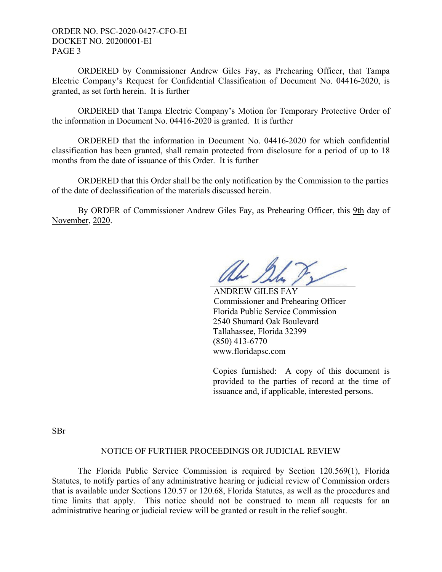ORDER NO. PSC-2020-0427-CFO-EI DOCKET NO. 20200001-EI PAGE 3

 ORDERED by Commissioner Andrew Giles Fay, as Prehearing Officer, that Tampa Electric Company's Request for Confidential Classification of Document No. 04416-2020, is granted, as set forth herein. It is further

 ORDERED that Tampa Electric Company's Motion for Temporary Protective Order of the information in Document No. 04416-2020 is granted. It is further

 ORDERED that the information in Document No. 04416-2020 for which confidential classification has been granted, shall remain protected from disclosure for a period of up to 18 months from the date of issuance of this Order. It is further

 ORDERED that this Order shall be the only notification by the Commission to the parties of the date of declassification of the materials discussed herein.

By ORDER of Commissioner Andrew Giles Fay, as Prehearing Officer, this 9th day of November, 2020.

 ANDREW GILES FAY Commissioner and Prehearing Officer Florida Public Service Commission 2540 Shumard Oak Boulevard Tallahassee, Florida 32399 (850) 413-6770 www.floridapsc.com

Copies furnished: A copy of this document is provided to the parties of record at the time of issuance and, if applicable, interested persons.

SBr

## NOTICE OF FURTHER PROCEEDINGS OR JUDICIAL REVIEW

 The Florida Public Service Commission is required by Section 120.569(1), Florida Statutes, to notify parties of any administrative hearing or judicial review of Commission orders that is available under Sections 120.57 or 120.68, Florida Statutes, as well as the procedures and time limits that apply. This notice should not be construed to mean all requests for an administrative hearing or judicial review will be granted or result in the relief sought.